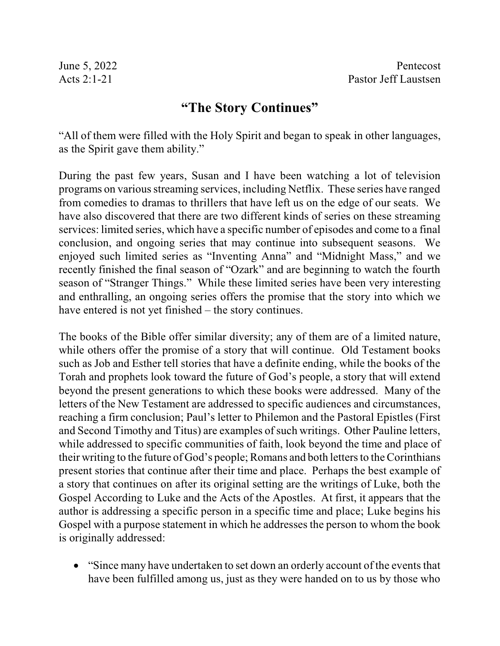## **"The Story Continues"**

"All of them were filled with the Holy Spirit and began to speak in other languages, as the Spirit gave them ability."

During the past few years, Susan and I have been watching a lot of television programs on various streaming services, including Netflix. These series have ranged from comedies to dramas to thrillers that have left us on the edge of our seats. We have also discovered that there are two different kinds of series on these streaming services: limited series, which have a specific number of episodes and come to a final conclusion, and ongoing series that may continue into subsequent seasons. We enjoyed such limited series as "Inventing Anna" and "Midnight Mass," and we recently finished the final season of "Ozark" and are beginning to watch the fourth season of "Stranger Things." While these limited series have been very interesting and enthralling, an ongoing series offers the promise that the story into which we have entered is not yet finished – the story continues.

The books of the Bible offer similar diversity; any of them are of a limited nature, while others offer the promise of a story that will continue. Old Testament books such as Job and Esther tell stories that have a definite ending, while the books of the Torah and prophets look toward the future of God's people, a story that will extend beyond the present generations to which these books were addressed. Many of the letters of the New Testament are addressed to specific audiences and circumstances, reaching a firm conclusion; Paul's letter to Philemon and the Pastoral Epistles (First and Second Timothy and Titus) are examples of such writings. Other Pauline letters, while addressed to specific communities of faith, look beyond the time and place of their writing to the future of God's people; Romans and both letters to the Corinthians present stories that continue after their time and place. Perhaps the best example of a story that continues on after its original setting are the writings of Luke, both the Gospel According to Luke and the Acts of the Apostles. At first, it appears that the author is addressing a specific person in a specific time and place; Luke begins his Gospel with a purpose statement in which he addresses the person to whom the book is originally addressed:

• "Since many have undertaken to set down an orderly account of the events that have been fulfilled among us, just as they were handed on to us by those who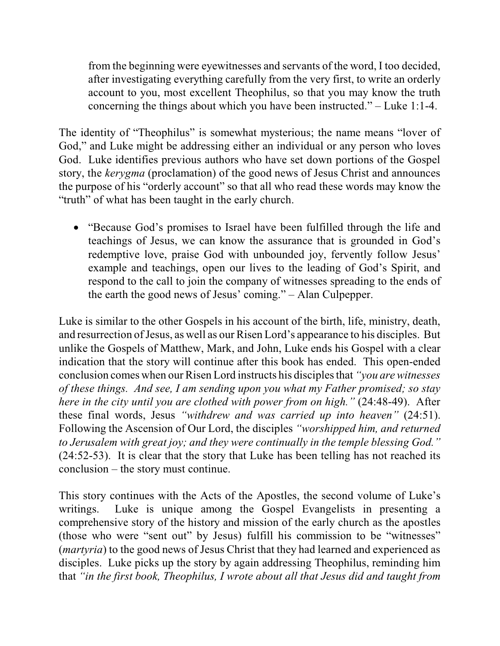from the beginning were eyewitnesses and servants of the word, I too decided, after investigating everything carefully from the very first, to write an orderly account to you, most excellent Theophilus, so that you may know the truth concerning the things about which you have been instructed." – Luke 1:1-4.

The identity of "Theophilus" is somewhat mysterious; the name means "lover of God," and Luke might be addressing either an individual or any person who loves God. Luke identifies previous authors who have set down portions of the Gospel story, the *kerygma* (proclamation) of the good news of Jesus Christ and announces the purpose of his "orderly account" so that all who read these words may know the "truth" of what has been taught in the early church.

· "Because God's promises to Israel have been fulfilled through the life and teachings of Jesus, we can know the assurance that is grounded in God's redemptive love, praise God with unbounded joy, fervently follow Jesus' example and teachings, open our lives to the leading of God's Spirit, and respond to the call to join the company of witnesses spreading to the ends of the earth the good news of Jesus' coming." – Alan Culpepper.

Luke is similar to the other Gospels in his account of the birth, life, ministry, death, and resurrection of Jesus, as well as our Risen Lord's appearance to his disciples. But unlike the Gospels of Matthew, Mark, and John, Luke ends his Gospel with a clear indication that the story will continue after this book has ended. This open-ended conclusion comes when our Risen Lord instructs his disciplesthat *"you are witnesses of these things. And see, I am sending upon you what my Father promised; so stay here in the city until you are clothed with power from on high."* (24:48-49). After these final words, Jesus *"withdrew and was carried up into heaven"* (24:51). Following the Ascension of Our Lord, the disciples *"worshipped him, and returned to Jerusalem with great joy; and they were continually in the temple blessing God."* (24:52-53). It is clear that the story that Luke has been telling has not reached its conclusion – the story must continue.

This story continues with the Acts of the Apostles, the second volume of Luke's writings. Luke is unique among the Gospel Evangelists in presenting a comprehensive story of the history and mission of the early church as the apostles (those who were "sent out" by Jesus) fulfill his commission to be "witnesses" (*martyria*) to the good news of Jesus Christ that they had learned and experienced as disciples. Luke picks up the story by again addressing Theophilus, reminding him that *"in the first book, Theophilus, I wrote about all that Jesus did and taught from*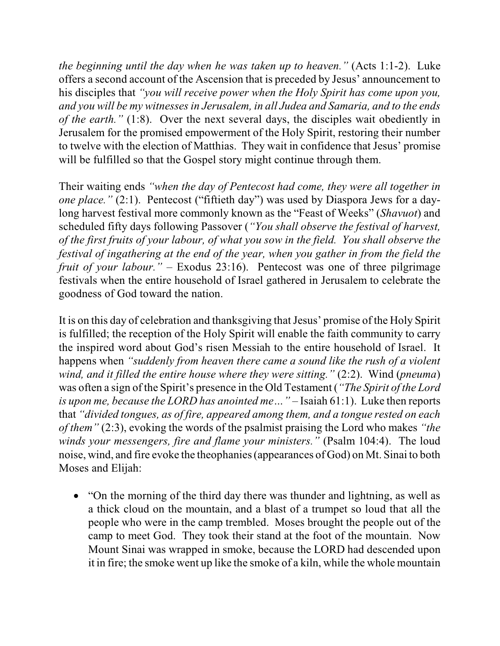*the beginning until the day when he was taken up to heaven."* (Acts 1:1-2). Luke offers a second account of the Ascension that is preceded by Jesus' announcement to his disciples that *"you will receive power when the Holy Spirit has come upon you, and you will be my witnesses in Jerusalem, in all Judea and Samaria, and to the ends of the earth."* (1:8). Over the next several days, the disciples wait obediently in Jerusalem for the promised empowerment of the Holy Spirit, restoring their number to twelve with the election of Matthias. They wait in confidence that Jesus' promise will be fulfilled so that the Gospel story might continue through them.

Their waiting ends *"when the day of Pentecost had come, they were all together in one place."* (2:1). Pentecost ("fiftieth day") was used by Diaspora Jews for a daylong harvest festival more commonly known as the "Feast of Weeks" (*Shavuot*) and scheduled fifty days following Passover (*"You shall observe the festival of harvest, of the first fruits of your labour, of what you sow in the field. You shall observe the festival of ingathering at the end of the year, when you gather in from the field the fruit of your labour."* – Exodus 23:16). Pentecost was one of three pilgrimage festivals when the entire household of Israel gathered in Jerusalem to celebrate the goodness of God toward the nation.

It is on this day of celebration and thanksgiving that Jesus' promise of the Holy Spirit is fulfilled; the reception of the Holy Spirit will enable the faith community to carry the inspired word about God's risen Messiah to the entire household of Israel. It happens when *"suddenly from heaven there came a sound like the rush of a violent wind, and it filled the entire house where they were sitting."* (2:2). Wind (*pneuma*) was often a sign of the Spirit's presence in the Old Testament (*"The Spirit of the Lord is upon me, because the LORD has anointed me…"* – Isaiah 61:1). Luke then reports that *"divided tongues, as of fire, appeared among them, and a tongue rested on each of them"* (2:3), evoking the words of the psalmist praising the Lord who makes *"the winds your messengers, fire and flame your ministers."* (Psalm 104:4). The loud noise, wind, and fire evoke the theophanies(appearances of God) on Mt. Sinai to both Moses and Elijah:

• "On the morning of the third day there was thunder and lightning, as well as a thick cloud on the mountain, and a blast of a trumpet so loud that all the people who were in the camp trembled. Moses brought the people out of the camp to meet God. They took their stand at the foot of the mountain. Now Mount Sinai was wrapped in smoke, because the LORD had descended upon it in fire; the smoke went up like the smoke of a kiln, while the whole mountain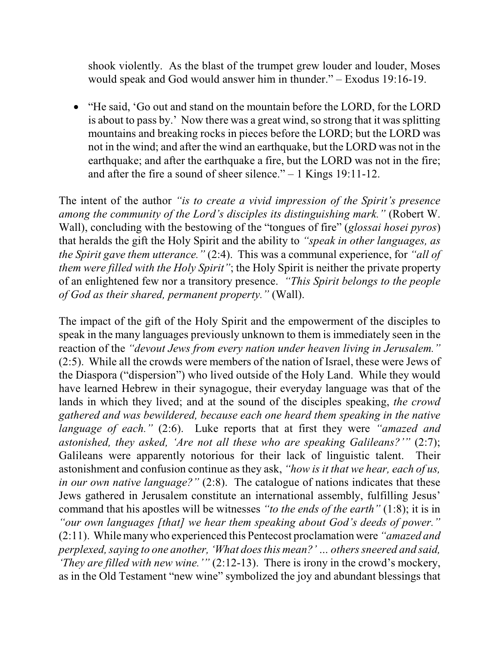shook violently. As the blast of the trumpet grew louder and louder, Moses would speak and God would answer him in thunder." – Exodus 19:16-19.

· "He said, 'Go out and stand on the mountain before the LORD, for the LORD is about to pass by.' Now there was a great wind, so strong that it was splitting mountains and breaking rocks in pieces before the LORD; but the LORD was not in the wind; and after the wind an earthquake, but the LORD was not in the earthquake; and after the earthquake a fire, but the LORD was not in the fire; and after the fire a sound of sheer silence." – 1 Kings 19:11-12.

The intent of the author *"is to create a vivid impression of the Spirit's presence among the community of the Lord's disciples its distinguishing mark."* (Robert W. Wall), concluding with the bestowing of the "tongues of fire" (*glossai hosei pyros*) that heralds the gift the Holy Spirit and the ability to *"speak in other languages, as the Spirit gave them utterance."* (2:4). This was a communal experience, for *"all of them were filled with the Holy Spirit"*; the Holy Spirit is neither the private property of an enlightened few nor a transitory presence. *"This Spirit belongs to the people of God as their shared, permanent property."* (Wall).

The impact of the gift of the Holy Spirit and the empowerment of the disciples to speak in the many languages previously unknown to them is immediately seen in the reaction of the *"devout Jews from every nation under heaven living in Jerusalem."* (2:5). While all the crowds were members of the nation of Israel, these were Jews of the Diaspora ("dispersion") who lived outside of the Holy Land. While they would have learned Hebrew in their synagogue, their everyday language was that of the lands in which they lived; and at the sound of the disciples speaking, *the crowd gathered and was bewildered, because each one heard them speaking in the native language of each."* (2:6). Luke reports that at first they were *"amazed and astonished, they asked, 'Are not all these who are speaking Galileans?'"* (2:7); Galileans were apparently notorious for their lack of linguistic talent. Their astonishment and confusion continue as they ask, *"how is it that we hear, each of us, in our own native language?*" (2:8). The catalogue of nations indicates that these Jews gathered in Jerusalem constitute an international assembly, fulfilling Jesus' command that his apostles will be witnesses *"to the ends of the earth"* (1:8); it is in *"our own languages [that] we hear them speaking about God's deeds of power."* (2:11). While manywho experienced this Pentecost proclamation were *"amazed and perplexed, saying to one another, 'What does this mean?' ... others sneered and said, 'They are filled with new wine.'"* (2:12-13). There is irony in the crowd's mockery, as in the Old Testament "new wine" symbolized the joy and abundant blessings that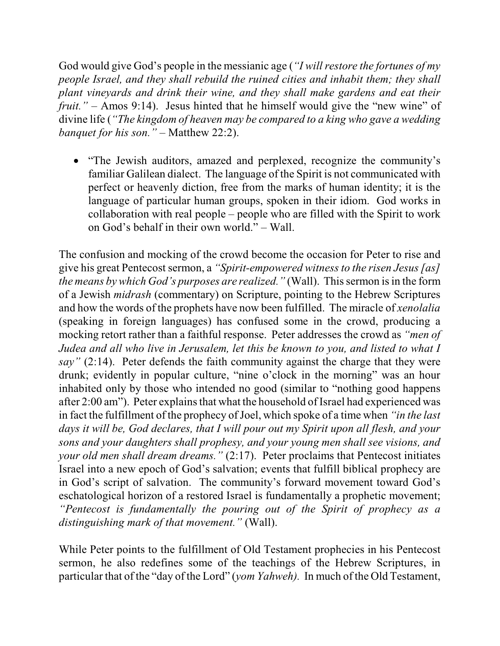God would give God's people in the messianic age (*"I will restore the fortunes of my people Israel, and they shall rebuild the ruined cities and inhabit them; they shall plant vineyards and drink their wine, and they shall make gardens and eat their fruit."* – Amos 9:14). Jesus hinted that he himself would give the "new wine" of divine life (*"The kingdom of heaven may be compared to a king who gave a wedding banquet for his son."* – Matthew 22:2).

· "The Jewish auditors, amazed and perplexed, recognize the community's familiar Galilean dialect. The language of the Spirit is not communicated with perfect or heavenly diction, free from the marks of human identity; it is the language of particular human groups, spoken in their idiom. God works in collaboration with real people – people who are filled with the Spirit to work on God's behalf in their own world." – Wall.

The confusion and mocking of the crowd become the occasion for Peter to rise and give his great Pentecost sermon, a *"Spirit-empowered witness to the risen Jesus [as] the means by which God's purposes are realized."* (Wall). This sermon is in the form of a Jewish *midrash* (commentary) on Scripture, pointing to the Hebrew Scriptures and how the words of the prophets have now been fulfilled. The miracle of *xenolalia* (speaking in foreign languages) has confused some in the crowd, producing a mocking retort rather than a faithful response. Peter addresses the crowd as *"men of Judea and all who live in Jerusalem, let this be known to you, and listed to what I say"* (2:14). Peter defends the faith community against the charge that they were drunk; evidently in popular culture, "nine o'clock in the morning" was an hour inhabited only by those who intended no good (similar to "nothing good happens after 2:00 am"). Peter explains that what the household of Israel had experienced was in fact the fulfillment of the prophecy of Joel, which spoke of a time when *"in the last days it will be, God declares, that I will pour out my Spirit upon all flesh, and your sons and your daughters shall prophesy, and your young men shall see visions, and your old men shall dream dreams."* (2:17). Peter proclaims that Pentecost initiates Israel into a new epoch of God's salvation; events that fulfill biblical prophecy are in God's script of salvation. The community's forward movement toward God's eschatological horizon of a restored Israel is fundamentally a prophetic movement; *"Pentecost is fundamentally the pouring out of the Spirit of prophecy as a distinguishing mark of that movement."* (Wall).

While Peter points to the fulfillment of Old Testament prophecies in his Pentecost sermon, he also redefines some of the teachings of the Hebrew Scriptures, in particular that of the "day of the Lord" (*yom Yahweh).* In much of the Old Testament,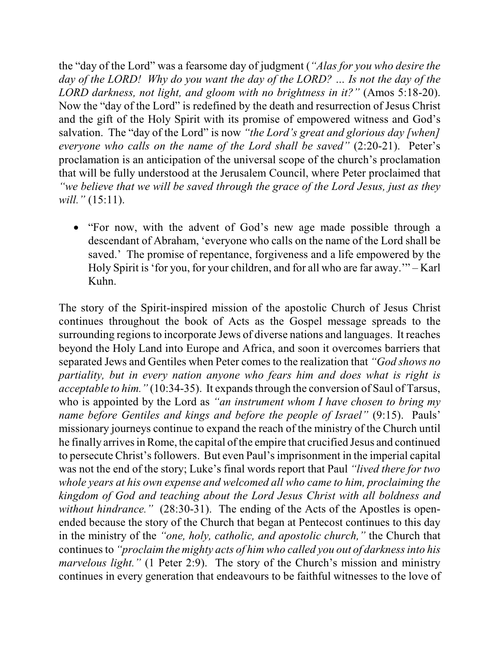the "day of the Lord" was a fearsome day of judgment (*"Alas for you who desire the day of the LORD! Why do you want the day of the LORD? … Is not the day of the LORD darkness, not light, and gloom with no brightness in it?"* (Amos 5:18-20). Now the "day of the Lord" is redefined by the death and resurrection of Jesus Christ and the gift of the Holy Spirit with its promise of empowered witness and God's salvation. The "day of the Lord" is now *"the Lord's great and glorious day [when] everyone who calls on the name of the Lord shall be saved"* (2:20-21). Peter's proclamation is an anticipation of the universal scope of the church's proclamation that will be fully understood at the Jerusalem Council, where Peter proclaimed that *"we believe that we will be saved through the grace of the Lord Jesus, just as they will."* (15:11).

• "For now, with the advent of God's new age made possible through a descendant of Abraham, 'everyone who calls on the name of the Lord shall be saved.' The promise of repentance, forgiveness and a life empowered by the Holy Spirit is 'for you, for your children, and for all who are far away.'" – Karl Kuhn.

The story of the Spirit-inspired mission of the apostolic Church of Jesus Christ continues throughout the book of Acts as the Gospel message spreads to the surrounding regions to incorporate Jews of diverse nations and languages. It reaches beyond the Holy Land into Europe and Africa, and soon it overcomes barriers that separated Jews and Gentiles when Peter comesto the realization that *"God shows no partiality, but in every nation anyone who fears him and does what is right is acceptable to him.*" (10:34-35). It expands through the conversion of Saul of Tarsus, who is appointed by the Lord as *"an instrument whom I have chosen to bring my name before Gentiles and kings and before the people of Israel"* (9:15). Pauls' missionary journeys continue to expand the reach of the ministry of the Church until he finally arrives in Rome, the capital of the empire that crucified Jesus and continued to persecute Christ's followers. But even Paul's imprisonment in the imperial capital was not the end of the story; Luke's final words report that Paul *"lived there for two whole years at his own expense and welcomed all who came to him, proclaiming the kingdom of God and teaching about the Lord Jesus Christ with all boldness and without hindrance."* (28:30-31). The ending of the Acts of the Apostles is openended because the story of the Church that began at Pentecost continues to this day in the ministry of the *"one, holy, catholic, and apostolic church,"* the Church that continuesto *"proclaim the mighty acts of him who called you out of darknessinto his marvelous light."* (1 Peter 2:9). The story of the Church's mission and ministry continues in every generation that endeavours to be faithful witnesses to the love of